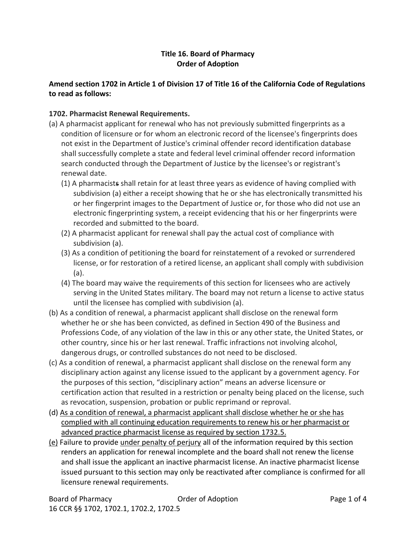## **Title 16. Board of Pharmacy Order of Adoption**

# **Amend section 1702 in Article 1 of Division 17 of Title 16 of the California Code of Regulations to read as follows:**

## **1702. Pharmacist Renewal Requirements.**

- (a) A pharmacist applicant for renewal who has not previously submitted fingerprints as a condition of licensure or for whom an electronic record of the licensee's fingerprints does not exist in the Department of Justice's criminal offender record identification database shall successfully complete a state and federal level criminal offender record information search conducted through the Department of Justice by the licensee's or registrant's renewal date.
	- (1) A pharmacists shall retain for at least three years as evidence of having complied with subdivision (a) either a receipt showing that he or she has electronically transmitted his or her fingerprint images to the Department of Justice or, for those who did not use an electronic fingerprinting system, a receipt evidencing that his or her fingerprints were recorded and submitted to the board.
	- (2) A pharmacist applicant for renewal shall pay the actual cost of compliance with subdivision (a).
	- (3) As a condition of petitioning the board for reinstatement of a revoked or surrendered license, or for restoration of a retired license, an applicant shall comply with subdivision (a).
	- (4) The board may waive the requirements of this section for licensees who are actively serving in the United States military. The board may not return a license to active status until the licensee has complied with subdivision (a).
- (b) As a condition of renewal, a pharmacist applicant shall disclose on the renewal form whether he or she has been convicted, as defined in Section 490 of the Business and Professions Code, of any violation of the law in this or any other state, the United States, or other country, since his or her last renewal. Traffic infractions not involving alcohol, dangerous drugs, or controlled substances do not need to be disclosed.
- (c) As a condition of renewal, a pharmacist applicant shall disclose on the renewal form any disciplinary action against any license issued to the applicant by a government agency. For the purposes of this section, "disciplinary action" means an adverse licensure or certification action that resulted in a restriction or penalty being placed on the license, such as revocation, suspension, probation or public reprimand or reproval.
- (d) As a condition of renewal, a pharmacist applicant shall disclose whether he or she has complied with all continuing education requirements to renew his or her pharmacist or advanced practice pharmacist license as required by section 1732.5.
- (e) Failure to provide under penalty of perjury all of the information required by this section renders an application for renewal incomplete and the board shall not renew the license and shall issue the applicant an inactive pharmacist license. An inactive pharmacist license issued pursuant to this section may only be reactivated after compliance is confirmed for all licensure renewal requirements.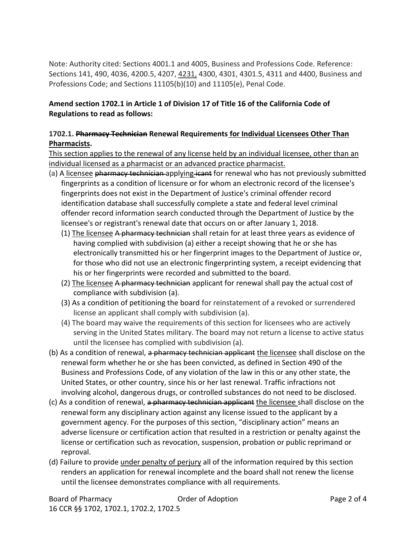Note: Authority cited: Sections 4001.1 and 4005, Business and Professions Code. Reference: Sections 141, 490, 4036, 4200.5, 4207, 4231, 4300, 4301, 4301.5, 4311 and 4400, Business and Professions Code; and Sections 11105(b)(10) and 11105(e), Penal Code.

#### **Amend section 1702.1 in Article 1 of Division 17 of Title 16 of the California Code of Regulations to read as follows:**

## **1702.1. Pharmacy Technician Renewal Requirements for Individual Licensees Other Than Pharmacists.**

This section applies to the renewal of any license held by an individual licensee, other than an individual licensed as a pharmacist or an advanced practice pharmacist.

- (a) A licensee pharmacy technician applying icant for renewal who has not previously submitted fingerprints as a condition of licensure or for whom an electronic record of the licensee's fingerprints does not exist in the Department of Justice's criminal offender record identification database shall successfully complete a state and federal level criminal offender record information search conducted through the Department of Justice by the licensee's or registrant's renewal date that occurs on or after January 1, 2018.
	- (1) The licensee A pharmacy technician shall retain for at least three years as evidence of having complied with subdivision (a) either a receipt showing that he or she has electronically transmitted his or her fingerprint images to the Department of Justice or, for those who did not use an electronic fingerprinting system, a receipt evidencing that his or her fingerprints were recorded and submitted to the board.
	- (2) The licensee A pharmacy technician applicant for renewal shall pay the actual cost of compliance with subdivision (a).
	- (3) As a condition of petitioning the board for reinstatement of a revoked or surrendered license an applicant shall comply with subdivision (a).
	- (4) The board may waive the requirements of this section for licensees who are actively serving in the United States military. The board may not return a license to active status until the licensee has complied with subdivision (a).
- (b) As a condition of renewal, a pharmacy technician applicant the licensee shall disclose on the renewal form whether he or she has been convicted, as defined in Section 490 of the Business and Professions Code, of any violation of the law in this or any other state, the United States, or other country, since his or her last renewal. Traffic infractions not involving alcohol, dangerous drugs, or controlled substances do not need to be disclosed.
- (c) As a condition of renewal, a pharmacy technician applicant the licensee shall disclose on the renewal form any disciplinary action against any license issued to the applicant by a government agency. For the purposes of this section, "disciplinary action" means an adverse licensure or certification action that resulted in a restriction or penalty against the license or certification such as revocation, suspension, probation or public reprimand or reproval.
- (d) Failure to provide under penalty of perjury all of the information required by this section renders an application for renewal incomplete and the board shall not renew the license until the licensee demonstrates compliance with all requirements.

Board of Pharmacy Order of Adoption Page 2 of 4 16 CCR §§ 1702, 1702.1, 1702.2, 1702.5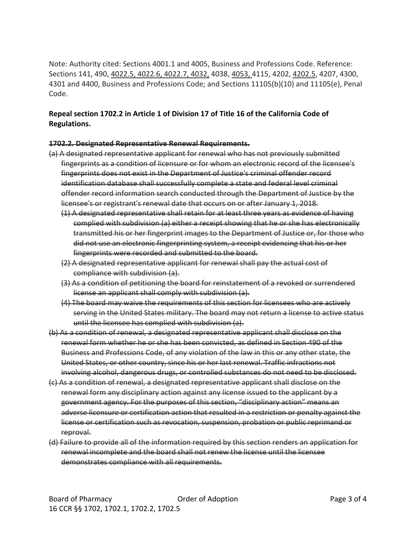Note: Authority cited: Sections 4001.1 and 4005, Business and Professions Code. Reference: Sections 141, 490, 4022.5, 4022.6, 4022.7, 4032, 4038, 4053, 4115, 4202, 4202.5, 4207, 4300, 4301 and 4400, Business and Professions Code; and Sections 11105(b)(10) and 11105(e), Penal Code.

# **Repeal section 1702.2 in Article 1 of Division 17 of Title 16 of the California Code of Regulations.**

#### **1702.2. Designated Representative Renewal Requirements.**

- (a) A designated representative applicant for renewal who has not previously submitted fingerprints as a condition of licensure or for whom an electronic record of the licensee's fingerprints does not exist in the Department of Justice's criminal offender record identification database shall successfully complete a state and federal level criminal offender record information search conducted through the Department of Justice by the licensee's or registrant's renewal date that occurs on or after January 1, 2018.
	- (1) A designated representative shall retain for at least three years as evidence of having complied with subdivision (a) either a receipt showing that he or she has electronically transmitted his or her fingerprint images to the Department of Justice or, for those who did not use an electronic fingerprinting system, a receipt evidencing that his or her fingerprints were recorded and submitted to the board.
	- (2) A designated representative applicant for renewal shall pay the actual cost of compliance with subdivision (a).
	- (3) As a condition of petitioning the board for reinstatement of a revoked or surrendered license an applicant shall comply with subdivision (a).
	- (4) The board may waive the requirements of this section for licensees who are actively serving in the United States military. The board may not return a license to active status until the licensee has complied with subdivision (a).
- (b) As a condition of renewal, a designated representative applicant shall disclose on the renewal form whether he or she has been convicted, as defined in Section 490 of the Business and Professions Code, of any violation of the law in this or any other state, the United States, or other country, since his or her last renewal. Traffic infractions not involving alcohol, dangerous drugs, or controlled substances do not need to be disclosed.
- (c) As a condition of renewal, a designated representative applicant shall disclose on the renewal form any disciplinary action against any license issued to the applicant by a government agency. For the purposes of this section, "disciplinary action" means an adverse licensure or certification action that resulted in a restriction or penalty against the license or certification such as revocation, suspension, probation or public reprimand or reproval.
- (d) Failure to provide all of the information required by this section renders an application for renewal incomplete and the board shall not renew the license until the licensee demonstrates compliance with all requirements.